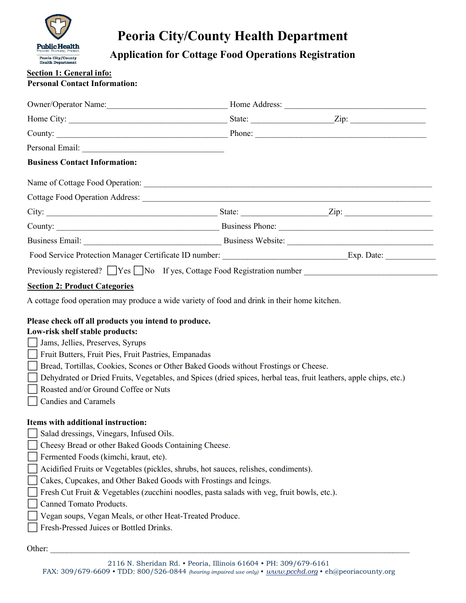

# Peoria City/County Health Department

Application for Cottage Food Operations Registration

# Section 1: General info:

| <b>Personal Contact Information:</b> |  |
|--------------------------------------|--|
|--------------------------------------|--|

|                                                                                                                                                                                                                                                                                                                                                                                                                                                                        | Owner/Operator Name: Mannell Music Mannell Music Music Mome Address: Music Music Music Music Music Music Music Music Music Music Music Music Music Music Music Music Music Music Music Music Music Music Music Music Music Mus |
|------------------------------------------------------------------------------------------------------------------------------------------------------------------------------------------------------------------------------------------------------------------------------------------------------------------------------------------------------------------------------------------------------------------------------------------------------------------------|--------------------------------------------------------------------------------------------------------------------------------------------------------------------------------------------------------------------------------|
|                                                                                                                                                                                                                                                                                                                                                                                                                                                                        |                                                                                                                                                                                                                                |
|                                                                                                                                                                                                                                                                                                                                                                                                                                                                        |                                                                                                                                                                                                                                |
|                                                                                                                                                                                                                                                                                                                                                                                                                                                                        |                                                                                                                                                                                                                                |
| <b>Business Contact Information:</b>                                                                                                                                                                                                                                                                                                                                                                                                                                   |                                                                                                                                                                                                                                |
|                                                                                                                                                                                                                                                                                                                                                                                                                                                                        |                                                                                                                                                                                                                                |
|                                                                                                                                                                                                                                                                                                                                                                                                                                                                        |                                                                                                                                                                                                                                |
|                                                                                                                                                                                                                                                                                                                                                                                                                                                                        |                                                                                                                                                                                                                                |
|                                                                                                                                                                                                                                                                                                                                                                                                                                                                        |                                                                                                                                                                                                                                |
|                                                                                                                                                                                                                                                                                                                                                                                                                                                                        |                                                                                                                                                                                                                                |
|                                                                                                                                                                                                                                                                                                                                                                                                                                                                        |                                                                                                                                                                                                                                |
| Previously registered? TYes No If yes, Cottage Food Registration number Theorem 2011                                                                                                                                                                                                                                                                                                                                                                                   |                                                                                                                                                                                                                                |
| A cottage food operation may produce a wide variety of food and drink in their home kitchen.<br>Please check off all products you intend to produce.                                                                                                                                                                                                                                                                                                                   |                                                                                                                                                                                                                                |
| Low-risk shelf stable products:<br>  Jams, Jellies, Preserves, Syrups<br>Fruit Butters, Fruit Pies, Fruit Pastries, Empanadas<br>Bread, Tortillas, Cookies, Scones or Other Baked Goods without Frostings or Cheese.<br>$\mathbf{L}$<br>Dehydrated or Dried Fruits, Vegetables, and Spices (dried spices, herbal teas, fruit leathers, apple chips, etc.)<br>Roasted and/or Ground Coffee or Nuts<br><b>Candies and Caramels</b><br>Items with additional instruction: |                                                                                                                                                                                                                                |

Other: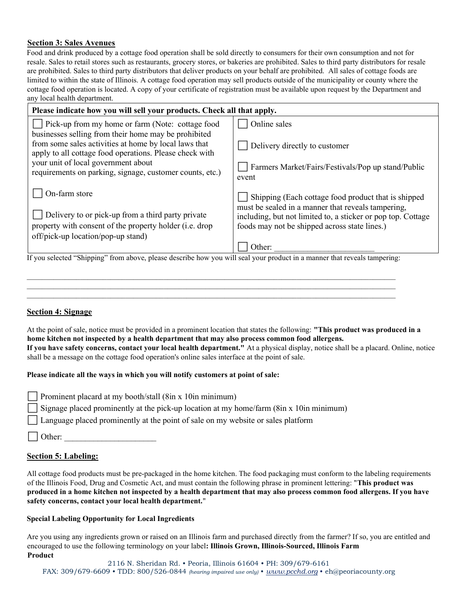## Section 3: Sales Avenues

Food and drink produced by a cottage food operation shall be sold directly to consumers for their own consumption and not for resale. Sales to retail stores such as restaurants, grocery stores, or bakeries are prohibited. Sales to third party distributors for resale are prohibited. Sales to third party distributors that deliver products on your behalf are prohibited. All sales of cottage foods are limited to within the state of Illinois. A cottage food operation may sell products outside of the municipality or county where the cottage food operation is located. A copy of your certificate of registration must be available upon request by the Department and any local health department.

| Please indicate how you will sell your products. Check all that apply.                                                    |                                                                                                           |  |  |  |
|---------------------------------------------------------------------------------------------------------------------------|-----------------------------------------------------------------------------------------------------------|--|--|--|
| Pick-up from my home or farm (Note: cottage food                                                                          | Online sales                                                                                              |  |  |  |
| businesses selling from their home may be prohibited                                                                      |                                                                                                           |  |  |  |
| from some sales activities at home by local laws that                                                                     | Delivery directly to customer                                                                             |  |  |  |
| apply to all cottage food operations. Please check with                                                                   |                                                                                                           |  |  |  |
| your unit of local government about                                                                                       | Farmers Market/Fairs/Festivals/Pop up stand/Public                                                        |  |  |  |
| requirements on parking, signage, customer counts, etc.)                                                                  | event                                                                                                     |  |  |  |
| On-farm store                                                                                                             |                                                                                                           |  |  |  |
|                                                                                                                           | Shipping (Each cottage food product that is shipped<br>must be sealed in a manner that reveals tampering, |  |  |  |
| Delivery to or pick-up from a third party private                                                                         | including, but not limited to, a sticker or pop top. Cottage                                              |  |  |  |
| property with consent of the property holder ( <i>i.e.</i> drop                                                           | foods may not be shipped across state lines.)                                                             |  |  |  |
| off/pick-up location/pop-up stand)                                                                                        |                                                                                                           |  |  |  |
|                                                                                                                           | Other:                                                                                                    |  |  |  |
| If you selected "Shipping" from above, please describe how you will seal your product in a manner that reveals tampering: |                                                                                                           |  |  |  |

## Section 4: Signage

At the point of sale, notice must be provided in a prominent location that states the following: "This product was produced in a home kitchen not inspected by a health department that may also process common food allergens.

 $\mathcal{L}_\text{max}$ 

If you have safety concerns, contact your local health department." At a physical display, notice shall be a placard. Online, notice shall be a message on the cottage food operation's online sales interface at the point of sale.

#### Please indicate all the ways in which you will notify customers at point of sale:

|  | Prominent placard at my booth/stall (8in x 10in minimum) |  |  |  |  |
|--|----------------------------------------------------------|--|--|--|--|
|  |                                                          |  |  |  |  |

Signage placed prominently at the pick-up location at my home/farm (8in x 10in minimum)

⬜ Language placed prominently at the point of sale on my website or sales platform

Other:

# Section 5: Labeling:

All cottage food products must be pre-packaged in the home kitchen. The food packaging must conform to the labeling requirements of the Illinois Food, Drug and Cosmetic Act, and must contain the following phrase in prominent lettering: "This product was produced in a home kitchen not inspected by a health department that may also process common food allergens. If you have safety concerns, contact your local health department."

#### Special Labeling Opportunity for Local Ingredients

Are you using any ingredients grown or raised on an Illinois farm and purchased directly from the farmer? If so, you are entitled and encouraged to use the following terminology on your label: Illinois Grown, Illinois-Sourced, Illinois Farm Product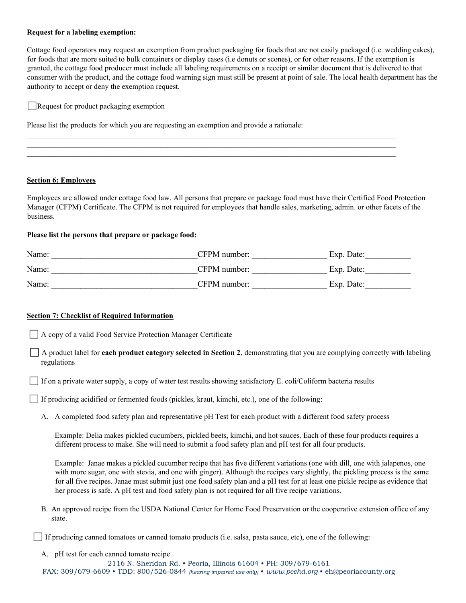#### Request for a labeling exemption:

Cottage food operators may request an exemption from product packaging for foods that are not easily packaged (i.e. wedding cakes), for foods that are more suited to bulk containers or display cases (i.e donuts or scones), or for other reasons. If the exemption is granted, the cottage food producer must include all labeling requirements on a receipt or similar document that is delivered to that consumer with the product, and the cottage food warning sign must still be present at point of sale. The local health department has the authority to accept or deny the exemption request.

Request for product packaging exemption

Please list the products for which you are requesting an exemption and provide a rationale:

#### Section 6: Employees

Employees are allowed under cottage food law. All persons that prepare or package food must have their Certified Food Protection Manager (CFPM) Certificate. The CFPM is not required for employees that handle sales, marketing, admin. or other facets of the business.

 $\mathcal{L}_\mathcal{L} = \mathcal{L}_\mathcal{L} = \mathcal{L}_\mathcal{L} = \mathcal{L}_\mathcal{L} = \mathcal{L}_\mathcal{L} = \mathcal{L}_\mathcal{L} = \mathcal{L}_\mathcal{L} = \mathcal{L}_\mathcal{L} = \mathcal{L}_\mathcal{L} = \mathcal{L}_\mathcal{L} = \mathcal{L}_\mathcal{L} = \mathcal{L}_\mathcal{L} = \mathcal{L}_\mathcal{L} = \mathcal{L}_\mathcal{L} = \mathcal{L}_\mathcal{L} = \mathcal{L}_\mathcal{L} = \mathcal{L}_\mathcal{L}$  $\mathcal{L}_\mathcal{L} = \mathcal{L}_\mathcal{L} = \mathcal{L}_\mathcal{L} = \mathcal{L}_\mathcal{L} = \mathcal{L}_\mathcal{L} = \mathcal{L}_\mathcal{L} = \mathcal{L}_\mathcal{L} = \mathcal{L}_\mathcal{L} = \mathcal{L}_\mathcal{L} = \mathcal{L}_\mathcal{L} = \mathcal{L}_\mathcal{L} = \mathcal{L}_\mathcal{L} = \mathcal{L}_\mathcal{L} = \mathcal{L}_\mathcal{L} = \mathcal{L}_\mathcal{L} = \mathcal{L}_\mathcal{L} = \mathcal{L}_\mathcal{L}$ 

#### Please list the persons that prepare or package food:

| Name: | CFPM number: | Exp. Date: |
|-------|--------------|------------|
| Name: | CFPM number: | Exp. Date: |
| Name: | CFPM number: | Exp. Date: |

#### Section 7: Checklist of Required Information

⬜ A copy of a valid Food Service Protection Manager Certificate

A product label for **each product category selected in Section 2**, demonstrating that you are complying correctly with labeling regulations

⬜ If on a private water supply, a copy of water test results showing satisfactory E. coli/Coliform bacteria results

⬜ If producing acidified or fermented foods (pickles, kraut, kimchi, etc.), one of the following:

A. A completed food safety plan and representative pH Test for each product with a different food safety process

Example: Delia makes pickled cucumbers, pickled beets, kimchi, and hot sauces. Each of these four products requires a different process to make. She will need to submit a food safety plan and pH test for all four products.

Example: Janae makes a pickled cucumber recipe that has five different variations (one with dill, one with jalapenos, one with more sugar, one with stevia, and one with ginger). Although the recipes vary slightly, the pickling process is the same for all five recipes. Janae must submit just one food safety plan and a pH test for at least one pickle recipe as evidence that her process is safe. A pH test and food safety plan is not required for all five recipe variations.

B. An approved recipe from the USDA National Center for Home Food Preservation or the cooperative extension office of any state.

⬜ If producing canned tomatoes or canned tomato products (i.e. salsa, pasta sauce, etc), one of the following:

A. pH test for each canned tomato recipe

2116 N. Sheridan Rd. • Peoria, Illinois 61604 • PH: 309/679-6161 FAX: 309/679-6609 • TDD: 800/526-0844 (hearing impaired use only) • www.pcchd.org • eh@peoriacounty.org